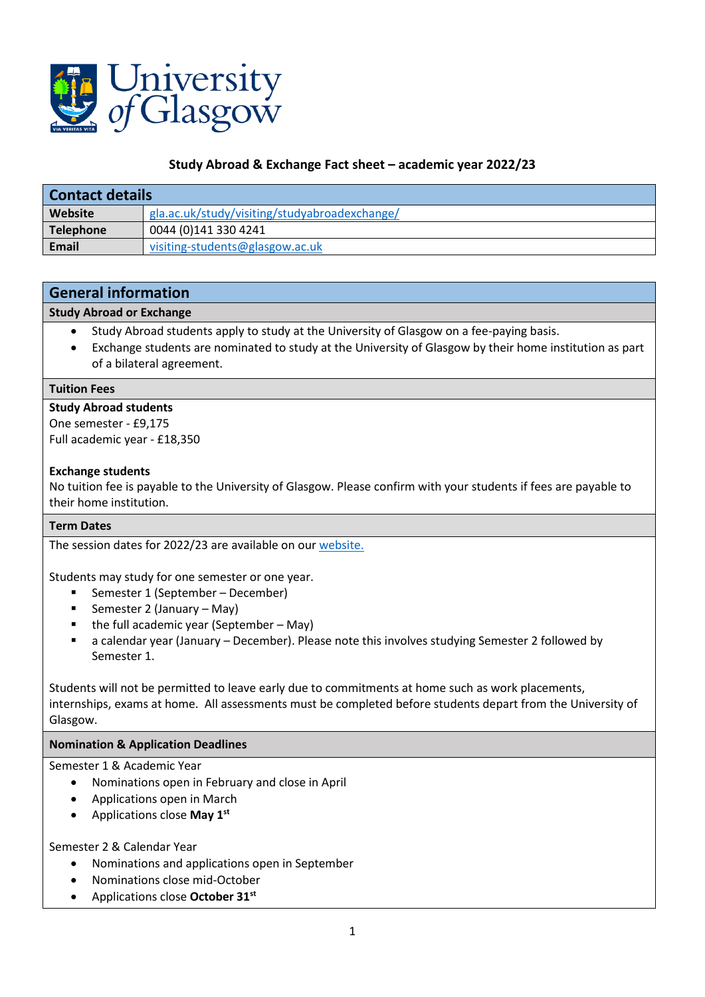

## **Study Abroad & Exchange Fact sheet – academic year 2022/23**

| Contact details |                                               |
|-----------------|-----------------------------------------------|
| Website         | gla.ac.uk/study/visiting/studyabroadexchange/ |
| Telephone       | 0044 (0)141 330 4241                          |
| Email           | visiting-students@glasgow.ac.uk               |

# **General information**

## **Study Abroad or Exchange**

- Study Abroad students apply to study at the University of Glasgow on a fee-paying basis.
- Exchange students are nominated to study at the University of Glasgow by their home institution as part of a bilateral agreement.

#### **Tuition Fees**

## **Study Abroad students**

One semester - £9,175 Full academic year - £18,350

## **Exchange students**

No tuition fee is payable to the University of Glasgow. Please confirm with your students if fees are payable to their home institution.

## **Term Dates**

The session dates for 2022/23 are available on our website.

Students may study for one semester or one year.

- Semester 1 (September December)
- Semester 2 (January May)
- the full academic year (September May)
- a calendar year (January December). Please note this involves studying Semester 2 followed by Semester 1.

Students will not be permitted to leave early due to commitments at home such as work placements, internships, exams at home. All assessments must be completed before students depart from the University of Glasgow.

## **Nomination & Application Deadlines**

Semester 1 & Academic Year

- Nominations open in February and close in April
- Applications open in March
- Applications close **May 1st**

## Semester 2 & Calendar Year

- Nominations and applications open in September
- Nominations close mid-October
- Applications close **October 31st**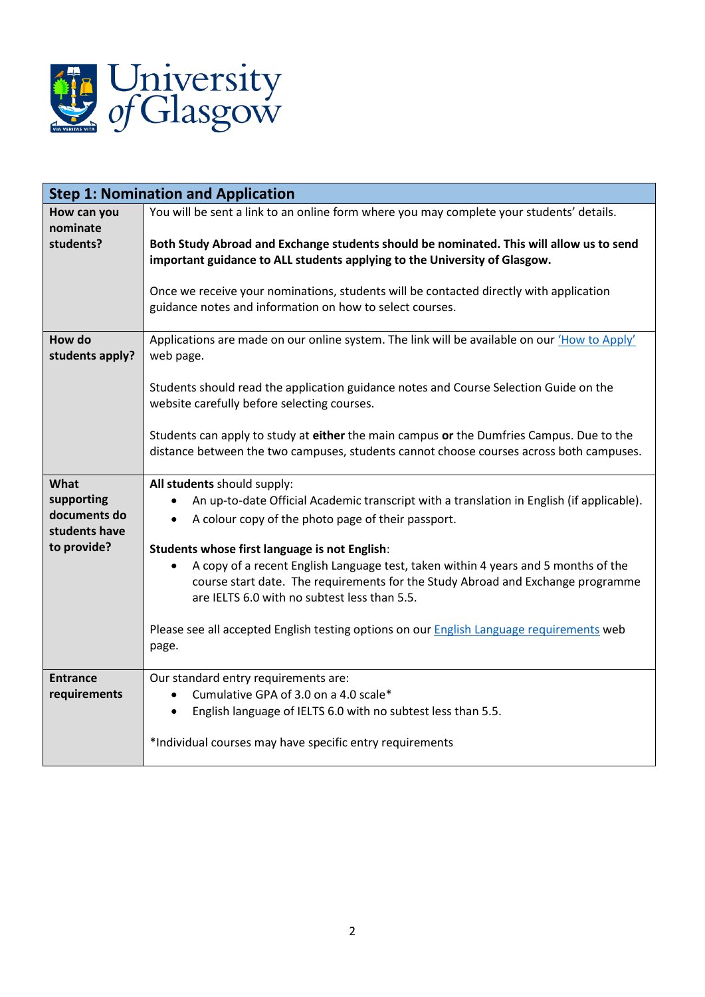

| <b>Step 1: Nomination and Application</b> |                                                                                                 |
|-------------------------------------------|-------------------------------------------------------------------------------------------------|
| How can you                               | You will be sent a link to an online form where you may complete your students' details.        |
| nominate<br>students?                     | Both Study Abroad and Exchange students should be nominated. This will allow us to send         |
|                                           | important guidance to ALL students applying to the University of Glasgow.                       |
|                                           |                                                                                                 |
|                                           | Once we receive your nominations, students will be contacted directly with application          |
|                                           | guidance notes and information on how to select courses.                                        |
| How do                                    | Applications are made on our online system. The link will be available on our 'How to Apply'    |
| students apply?                           | web page.                                                                                       |
|                                           | Students should read the application guidance notes and Course Selection Guide on the           |
|                                           | website carefully before selecting courses.                                                     |
|                                           |                                                                                                 |
|                                           | Students can apply to study at either the main campus or the Dumfries Campus. Due to the        |
|                                           | distance between the two campuses, students cannot choose courses across both campuses.         |
| What                                      | All students should supply:                                                                     |
| supporting                                | An up-to-date Official Academic transcript with a translation in English (if applicable).       |
| documents do<br>students have             | A colour copy of the photo page of their passport.<br>$\bullet$                                 |
| to provide?                               | Students whose first language is not English:                                                   |
|                                           | A copy of a recent English Language test, taken within 4 years and 5 months of the<br>$\bullet$ |
|                                           | course start date. The requirements for the Study Abroad and Exchange programme                 |
|                                           | are IELTS 6.0 with no subtest less than 5.5.                                                    |
|                                           | Please see all accepted English testing options on our English Language requirements web        |
|                                           | page.                                                                                           |
|                                           |                                                                                                 |
| <b>Entrance</b><br>requirements           | Our standard entry requirements are:<br>Cumulative GPA of 3.0 on a 4.0 scale*                   |
|                                           | English language of IELTS 6.0 with no subtest less than 5.5.<br>$\bullet$                       |
|                                           |                                                                                                 |
|                                           | *Individual courses may have specific entry requirements                                        |
|                                           |                                                                                                 |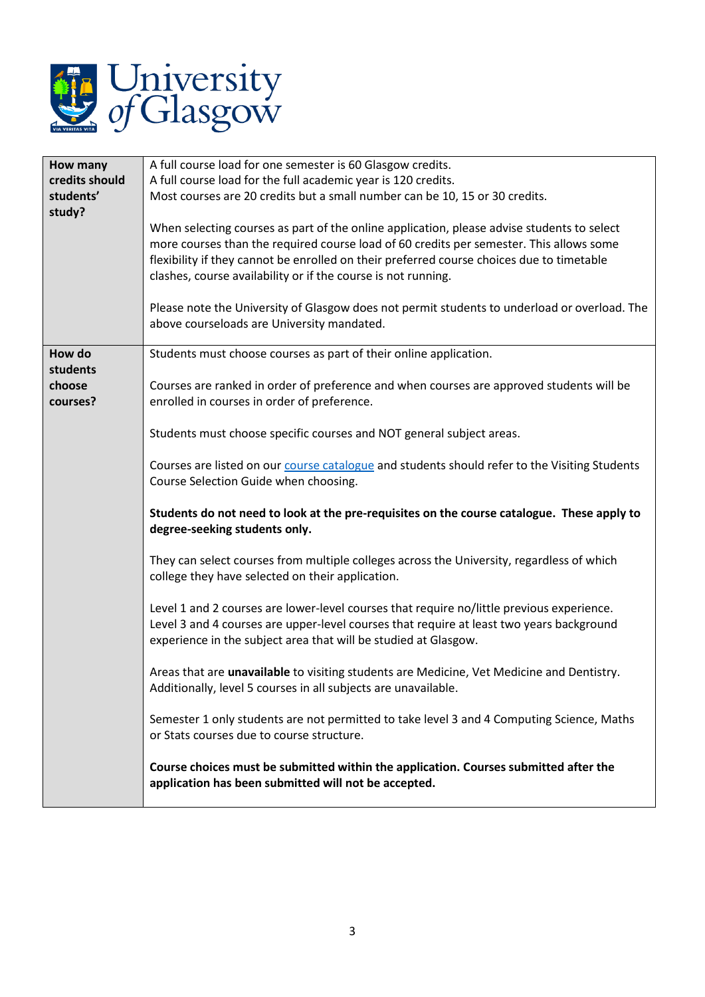

| How many<br>credits should<br>students'<br>study? | A full course load for one semester is 60 Glasgow credits.<br>A full course load for the full academic year is 120 credits.<br>Most courses are 20 credits but a small number can be 10, 15 or 30 credits.<br>When selecting courses as part of the online application, please advise students to select |
|---------------------------------------------------|----------------------------------------------------------------------------------------------------------------------------------------------------------------------------------------------------------------------------------------------------------------------------------------------------------|
|                                                   | more courses than the required course load of 60 credits per semester. This allows some<br>flexibility if they cannot be enrolled on their preferred course choices due to timetable<br>clashes, course availability or if the course is not running.                                                    |
|                                                   | Please note the University of Glasgow does not permit students to underload or overload. The<br>above courseloads are University mandated.                                                                                                                                                               |
| How do<br>students                                | Students must choose courses as part of their online application.                                                                                                                                                                                                                                        |
| choose<br>courses?                                | Courses are ranked in order of preference and when courses are approved students will be<br>enrolled in courses in order of preference.                                                                                                                                                                  |
|                                                   | Students must choose specific courses and NOT general subject areas.                                                                                                                                                                                                                                     |
|                                                   | Courses are listed on our course catalogue and students should refer to the Visiting Students<br>Course Selection Guide when choosing.                                                                                                                                                                   |
|                                                   | Students do not need to look at the pre-requisites on the course catalogue. These apply to<br>degree-seeking students only.                                                                                                                                                                              |
|                                                   | They can select courses from multiple colleges across the University, regardless of which<br>college they have selected on their application.                                                                                                                                                            |
|                                                   | Level 1 and 2 courses are lower-level courses that require no/little previous experience.<br>Level 3 and 4 courses are upper-level courses that require at least two years background<br>experience in the subject area that will be studied at Glasgow.                                                 |
|                                                   | Areas that are unavailable to visiting students are Medicine, Vet Medicine and Dentistry.<br>Additionally, level 5 courses in all subjects are unavailable.                                                                                                                                              |
|                                                   | Semester 1 only students are not permitted to take level 3 and 4 Computing Science, Maths<br>or Stats courses due to course structure.                                                                                                                                                                   |
|                                                   | Course choices must be submitted within the application. Courses submitted after the<br>application has been submitted will not be accepted.                                                                                                                                                             |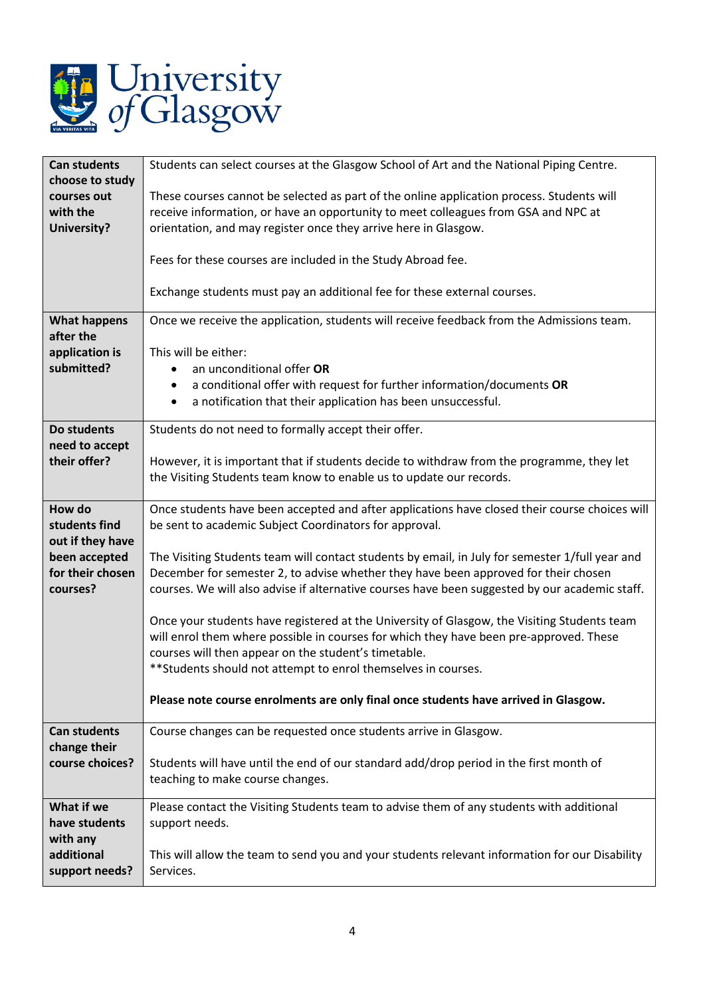

| <b>Can students</b> | Students can select courses at the Glasgow School of Art and the National Piping Centre.        |
|---------------------|-------------------------------------------------------------------------------------------------|
| choose to study     |                                                                                                 |
| courses out         | These courses cannot be selected as part of the online application process. Students will       |
| with the            | receive information, or have an opportunity to meet colleagues from GSA and NPC at              |
| <b>University?</b>  | orientation, and may register once they arrive here in Glasgow.                                 |
|                     |                                                                                                 |
|                     | Fees for these courses are included in the Study Abroad fee.                                    |
|                     | Exchange students must pay an additional fee for these external courses.                        |
|                     |                                                                                                 |
| <b>What happens</b> | Once we receive the application, students will receive feedback from the Admissions team.       |
| after the           |                                                                                                 |
| application is      | This will be either:                                                                            |
| submitted?          | an unconditional offer OR                                                                       |
|                     | a conditional offer with request for further information/documents OR<br>$\bullet$              |
|                     | a notification that their application has been unsuccessful.<br>$\bullet$                       |
|                     |                                                                                                 |
| Do students         | Students do not need to formally accept their offer.                                            |
| need to accept      |                                                                                                 |
| their offer?        | However, it is important that if students decide to withdraw from the programme, they let       |
|                     | the Visiting Students team know to enable us to update our records.                             |
|                     |                                                                                                 |
| How do              | Once students have been accepted and after applications have closed their course choices will   |
| students find       | be sent to academic Subject Coordinators for approval.                                          |
| out if they have    |                                                                                                 |
| been accepted       | The Visiting Students team will contact students by email, in July for semester 1/full year and |
| for their chosen    | December for semester 2, to advise whether they have been approved for their chosen             |
| courses?            | courses. We will also advise if alternative courses have been suggested by our academic staff.  |
|                     |                                                                                                 |
|                     | Once your students have registered at the University of Glasgow, the Visiting Students team     |
|                     | will enrol them where possible in courses for which they have been pre-approved. These          |
|                     | courses will then appear on the student's timetable.                                            |
|                     |                                                                                                 |
|                     | ** Students should not attempt to enrol themselves in courses.                                  |
|                     |                                                                                                 |
|                     | Please note course enrolments are only final once students have arrived in Glasgow.             |
| <b>Can students</b> | Course changes can be requested once students arrive in Glasgow.                                |
| change their        |                                                                                                 |
| course choices?     | Students will have until the end of our standard add/drop period in the first month of          |
|                     | teaching to make course changes.                                                                |
|                     |                                                                                                 |
| What if we          | Please contact the Visiting Students team to advise them of any students with additional        |
| have students       | support needs.                                                                                  |
| with any            |                                                                                                 |
| additional          | This will allow the team to send you and your students relevant information for our Disability  |
| support needs?      | Services.                                                                                       |
|                     |                                                                                                 |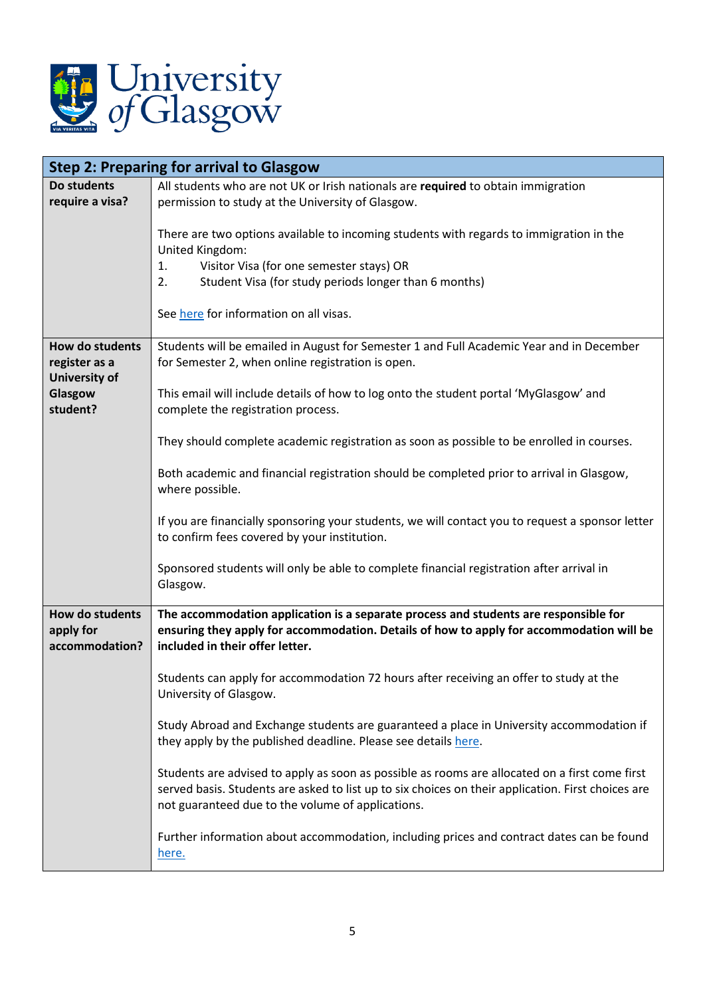

| <b>Step 2: Preparing for arrival to Glasgow</b> |                                                                                                                                                                                                                                                                       |
|-------------------------------------------------|-----------------------------------------------------------------------------------------------------------------------------------------------------------------------------------------------------------------------------------------------------------------------|
| Do students                                     | All students who are not UK or Irish nationals are required to obtain immigration                                                                                                                                                                                     |
| require a visa?                                 | permission to study at the University of Glasgow.                                                                                                                                                                                                                     |
|                                                 | There are two options available to incoming students with regards to immigration in the<br>United Kingdom:<br>Visitor Visa (for one semester stays) OR<br>1.<br>Student Visa (for study periods longer than 6 months)<br>2.<br>See here for information on all visas. |
| How do students                                 | Students will be emailed in August for Semester 1 and Full Academic Year and in December                                                                                                                                                                              |
| register as a                                   | for Semester 2, when online registration is open.                                                                                                                                                                                                                     |
| <b>University of</b>                            |                                                                                                                                                                                                                                                                       |
| Glasgow<br>student?                             | This email will include details of how to log onto the student portal 'MyGlasgow' and<br>complete the registration process.                                                                                                                                           |
|                                                 | They should complete academic registration as soon as possible to be enrolled in courses.                                                                                                                                                                             |
|                                                 | Both academic and financial registration should be completed prior to arrival in Glasgow,<br>where possible.                                                                                                                                                          |
|                                                 | If you are financially sponsoring your students, we will contact you to request a sponsor letter<br>to confirm fees covered by your institution.                                                                                                                      |
|                                                 | Sponsored students will only be able to complete financial registration after arrival in<br>Glasgow.                                                                                                                                                                  |
| How do students<br>apply for<br>accommodation?  | The accommodation application is a separate process and students are responsible for<br>ensuring they apply for accommodation. Details of how to apply for accommodation will be<br>included in their offer letter.                                                   |
|                                                 | Students can apply for accommodation 72 hours after receiving an offer to study at the<br>University of Glasgow.                                                                                                                                                      |
|                                                 | Study Abroad and Exchange students are guaranteed a place in University accommodation if<br>they apply by the published deadline. Please see details here.                                                                                                            |
|                                                 | Students are advised to apply as soon as possible as rooms are allocated on a first come first<br>served basis. Students are asked to list up to six choices on their application. First choices are<br>not guaranteed due to the volume of applications.             |
|                                                 | Further information about accommodation, including prices and contract dates can be found<br>here.                                                                                                                                                                    |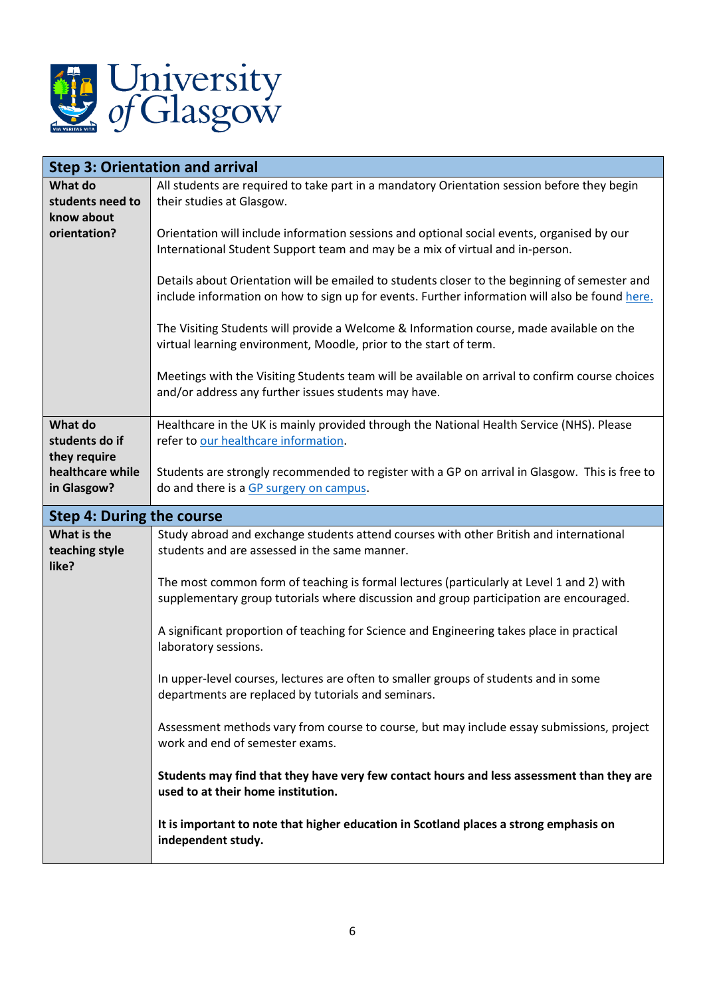

| <b>Step 3: Orientation and arrival</b> |                                                                                                                                                                                                 |  |
|----------------------------------------|-------------------------------------------------------------------------------------------------------------------------------------------------------------------------------------------------|--|
| What do                                | All students are required to take part in a mandatory Orientation session before they begin                                                                                                     |  |
| students need to                       | their studies at Glasgow.                                                                                                                                                                       |  |
| know about                             |                                                                                                                                                                                                 |  |
| orientation?                           | Orientation will include information sessions and optional social events, organised by our                                                                                                      |  |
|                                        | International Student Support team and may be a mix of virtual and in-person.                                                                                                                   |  |
|                                        | Details about Orientation will be emailed to students closer to the beginning of semester and<br>include information on how to sign up for events. Further information will also be found here. |  |
|                                        | The Visiting Students will provide a Welcome & Information course, made available on the<br>virtual learning environment, Moodle, prior to the start of term.                                   |  |
|                                        | Meetings with the Visiting Students team will be available on arrival to confirm course choices<br>and/or address any further issues students may have.                                         |  |
| What do                                | Healthcare in the UK is mainly provided through the National Health Service (NHS). Please                                                                                                       |  |
| students do if                         | refer to our healthcare information.                                                                                                                                                            |  |
| they require                           |                                                                                                                                                                                                 |  |
| healthcare while                       | Students are strongly recommended to register with a GP on arrival in Glasgow. This is free to                                                                                                  |  |
| in Glasgow?                            | do and there is a GP surgery on campus.                                                                                                                                                         |  |
| Step 4: During the course              |                                                                                                                                                                                                 |  |
| What is the                            | Study abroad and exchange students attend courses with other British and international                                                                                                          |  |
| teaching style                         | students and are assessed in the same manner.                                                                                                                                                   |  |
| like?                                  | The most common form of teaching is formal lectures (particularly at Level 1 and 2) with<br>supplementary group tutorials where discussion and group participation are encouraged.              |  |
|                                        | A significant proportion of teaching for Science and Engineering takes place in practical<br>laboratory sessions.                                                                               |  |
|                                        | In upper-level courses, lectures are often to smaller groups of students and in some<br>departments are replaced by tutorials and seminars.                                                     |  |
|                                        | Assessment methods vary from course to course, but may include essay submissions, project<br>work and end of semester exams.                                                                    |  |
|                                        | Students may find that they have very few contact hours and less assessment than they are<br>used to at their home institution.                                                                 |  |
|                                        | It is important to note that higher education in Scotland places a strong emphasis on<br>independent study.                                                                                     |  |